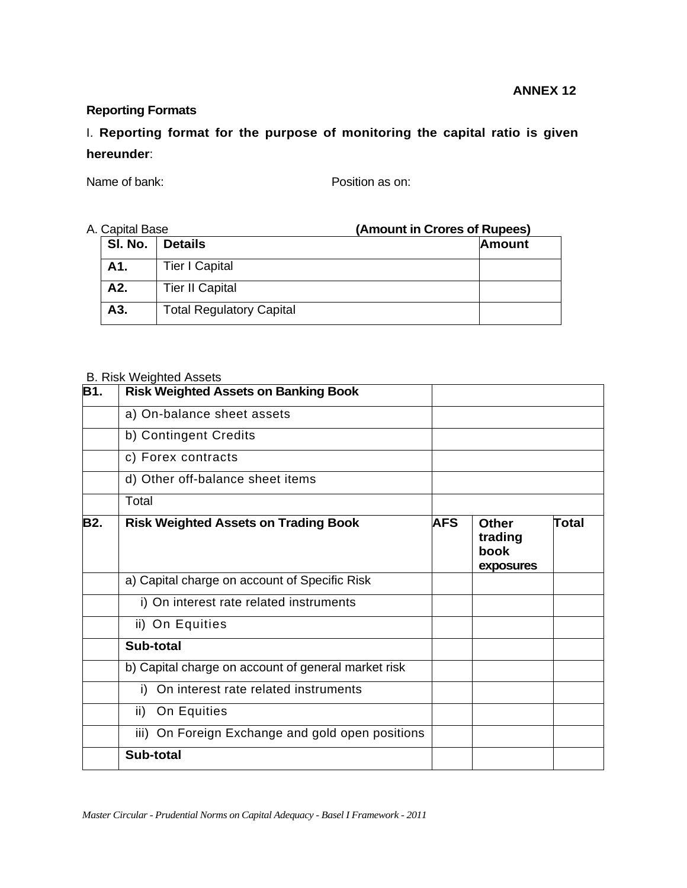## **Reporting Formats**

I. **Reporting format for the purpose of monitoring the capital ratio is given hereunder**:

Name of bank: Position as on:

#### A. Capital Base **(Amount in Crores of Rupees)**

| oupitul buoo |                                 |               |  |
|--------------|---------------------------------|---------------|--|
| SI. No.      | <b>Details</b>                  | <b>Amount</b> |  |
| A1.          | <b>Tier I Capital</b>           |               |  |
| A2.          | <b>Tier II Capital</b>          |               |  |
| A3.          | <b>Total Regulatory Capital</b> |               |  |

#### B. Risk Weighted Assets

| <b>B1.</b> | <b>Risk Weighted Assets on Banking Book</b>         |            |                                              |              |
|------------|-----------------------------------------------------|------------|----------------------------------------------|--------------|
|            | a) On-balance sheet assets                          |            |                                              |              |
|            | b) Contingent Credits                               |            |                                              |              |
|            | c) Forex contracts                                  |            |                                              |              |
|            | d) Other off-balance sheet items                    |            |                                              |              |
|            | Total                                               |            |                                              |              |
| <b>B2.</b> | <b>Risk Weighted Assets on Trading Book</b>         | <b>AFS</b> | <b>Other</b><br>trading<br>book<br>exposures | <b>Total</b> |
|            | a) Capital charge on account of Specific Risk       |            |                                              |              |
|            | i) On interest rate related instruments             |            |                                              |              |
|            | ii) On Equities                                     |            |                                              |              |
|            | Sub-total                                           |            |                                              |              |
|            | b) Capital charge on account of general market risk |            |                                              |              |
|            | On interest rate related instruments<br>i)          |            |                                              |              |
|            | On Equities<br>ii)                                  |            |                                              |              |
|            | iii) On Foreign Exchange and gold open positions    |            |                                              |              |
|            | Sub-total                                           |            |                                              |              |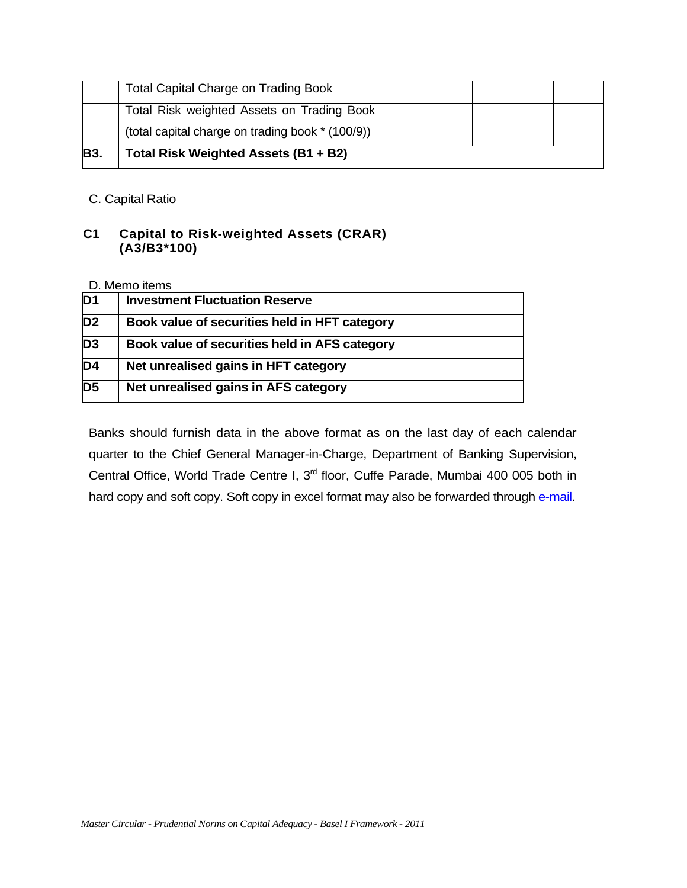| <b>B3.</b> | Total Risk Weighted Assets (B1 + B2)             |  |  |
|------------|--------------------------------------------------|--|--|
|            | (total capital charge on trading book * (100/9)) |  |  |
|            | Total Risk weighted Assets on Trading Book       |  |  |
|            | <b>Total Capital Charge on Trading Book</b>      |  |  |

C. Capital Ratio

# **C1 Capital to Risk-weighted Assets (CRAR) (A3/B3\*100)**

### D. Memo items

| D <sub>1</sub>  | <b>Investment Fluctuation Reserve</b>         |  |
|-----------------|-----------------------------------------------|--|
| D <sub>2</sub>  | Book value of securities held in HFT category |  |
| D <sub>3</sub>  | Book value of securities held in AFS category |  |
| $\overline{D4}$ | Net unrealised gains in HFT category          |  |
| $\overline{D5}$ | Net unrealised gains in AFS category          |  |

Banks should furnish data in the above format as on the last day of each calendar quarter to the Chief General Manager-in-Charge, Department of Banking Supervision, Central Office, World Trade Centre I, 3rd floor, Cuffe Parade, Mumbai 400 005 both in hard copy and soft copy. Soft copy in excel format may also be forwarded through [e-mail.](mailto:osmos@rbi.org.in,dbodmrg@rbi.org.in)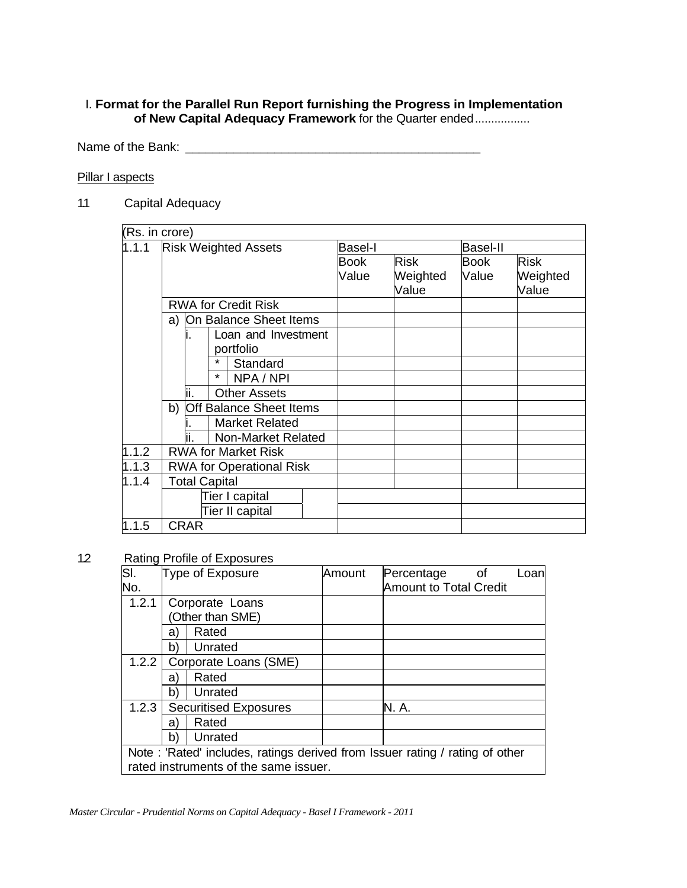## I. **Format for the Parallel Run Report furnishing the Progress in Implementation of New Capital Adequacy Framework** for the Quarter ended..................

Name of the Bank: \_\_\_\_\_\_\_\_\_\_\_\_\_\_\_\_\_\_\_\_\_\_\_\_\_\_\_\_\_\_\_\_\_\_\_\_\_\_\_\_\_\_\_

# **Pillar I aspects**

1.1 Capital Adequacy

| (Rs. in crore)     |                                         |                |                   |                            |             |
|--------------------|-----------------------------------------|----------------|-------------------|----------------------------|-------------|
| $\overline{1.1}.1$ | <b>Risk Weighted Assets</b>             | <b>Basel-I</b> |                   | <b>Basel-II</b>            |             |
|                    |                                         | Book           | <b>Risk</b>       | <b>Book</b>                | <b>Risk</b> |
|                    |                                         | Value          | Weighted<br>Value | Weighted<br>Value<br>Value |             |
|                    | <b>RWA for Credit Risk</b>              |                |                   |                            |             |
|                    | On Balance Sheet Items<br>a)            |                |                   |                            |             |
|                    | Loan and Investment<br>II.<br>portfolio |                |                   |                            |             |
|                    | $\star$<br>Standard                     |                |                   |                            |             |
|                    | $\star$<br>NPA / NPI                    |                |                   |                            |             |
|                    | Ϊi.<br><b>Other Assets</b>              |                |                   |                            |             |
|                    | b)<br><b>Off Balance Sheet Items</b>    |                |                   |                            |             |
|                    | <b>Market Related</b>                   |                |                   |                            |             |
|                    | Non-Market Related                      |                |                   |                            |             |
| 1.1.2              | <b>RWA for Market Risk</b>              |                |                   |                            |             |
| 1.1.3              | <b>RWA for Operational Risk</b>         |                |                   |                            |             |
| 1.1.4              | <b>Total Capital</b>                    |                |                   |                            |             |
|                    | Tier I capital                          |                |                   |                            |             |
|                    | Tier II capital                         |                |                   |                            |             |
| 1.1.5              | <b>CRAR</b>                             |                |                   |                            |             |

1.2 Rating Profile of Exposures

| SI.   |                                                                              | Type of Exposure                      | Amount | Percentage<br>0f              | Loanl |  |
|-------|------------------------------------------------------------------------------|---------------------------------------|--------|-------------------------------|-------|--|
| No.   |                                                                              |                                       |        | <b>Amount to Total Credit</b> |       |  |
| 1.2.1 |                                                                              | Corporate Loans                       |        |                               |       |  |
|       |                                                                              | (Other than SME)                      |        |                               |       |  |
|       | a)                                                                           | Rated                                 |        |                               |       |  |
|       | b)                                                                           | Unrated                               |        |                               |       |  |
| 1.2.2 |                                                                              | Corporate Loans (SME)                 |        |                               |       |  |
|       | a)                                                                           | Rated                                 |        |                               |       |  |
|       | b)                                                                           | Unrated                               |        |                               |       |  |
| 1.2.3 |                                                                              | <b>Securitised Exposures</b>          |        | N. A.                         |       |  |
|       | a)                                                                           | Rated                                 |        |                               |       |  |
|       | b)                                                                           | Unrated                               |        |                               |       |  |
|       | Note: 'Rated' includes, ratings derived from Issuer rating / rating of other |                                       |        |                               |       |  |
|       |                                                                              | rated instruments of the same issuer. |        |                               |       |  |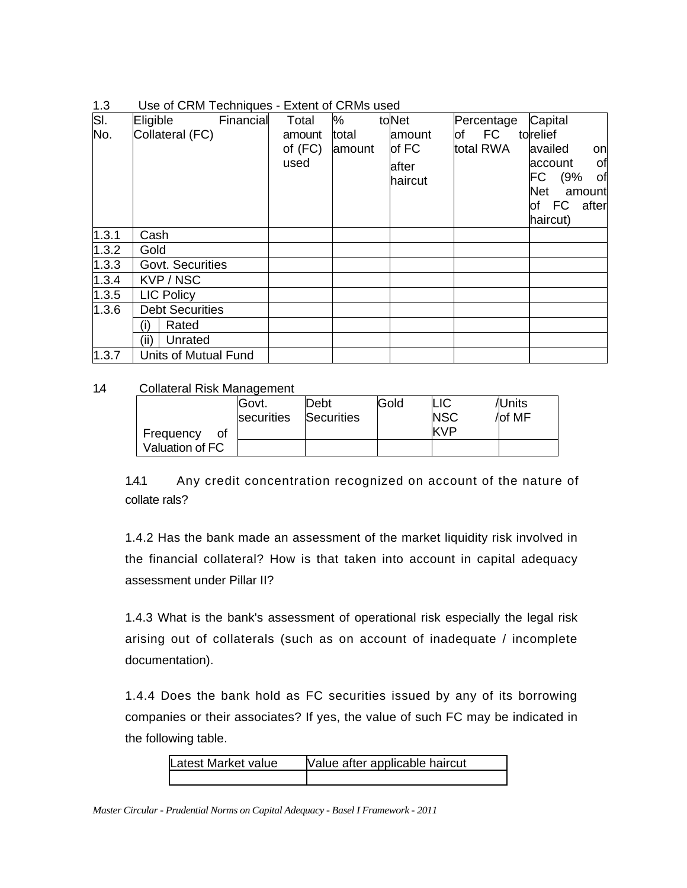| 1.3 | Use of CRM Techniques - Extent of CRMs used |  |  |
|-----|---------------------------------------------|--|--|
|     |                                             |  |  |

| SI.   | Eligible<br>Financial  | Total     | %      | toNet              | Percentage | Capital              |
|-------|------------------------|-----------|--------|--------------------|------------|----------------------|
| No.   | Collateral (FC)        | amount    | total  | amount             | FC<br>of   | torelief             |
|       |                        | of $(FC)$ | amount | $\mathsf{I}$ of FC | total RWA  | availed<br>on        |
|       |                        | used      |        | after              |            | of<br>account        |
|       |                        |           |        | haircut            |            | FC<br>of<br>(9%      |
|       |                        |           |        |                    |            | <b>Net</b><br>amount |
|       |                        |           |        |                    |            | FC<br>after<br>of    |
|       |                        |           |        |                    |            | haircut)             |
| 1.3.1 | Cash                   |           |        |                    |            |                      |
| 1.3.2 | Gold                   |           |        |                    |            |                      |
| 1.3.3 | Govt. Securities       |           |        |                    |            |                      |
| 1.3.4 | KVP / NSC              |           |        |                    |            |                      |
| 1.3.5 | <b>LIC Policy</b>      |           |        |                    |            |                      |
| 1.3.6 | <b>Debt Securities</b> |           |        |                    |            |                      |
|       | (i)<br>Rated           |           |        |                    |            |                      |
|       | (ii)<br>Unrated        |           |        |                    |            |                      |
| 1.3.7 | Units of Mutual Fund   |           |        |                    |            |                      |

### 1.4 Collateral Risk Management

|                 | Govt.<br>securities | Debt<br>Securities | Gold | LIC<br><b>NSC</b> | /IUnits<br>/lof MF |
|-----------------|---------------------|--------------------|------|-------------------|--------------------|
| Frequency<br>0t |                     |                    |      | KVP               |                    |
| Valuation of FC |                     |                    |      |                   |                    |

1.4.1 Any credit concentration recognized on account of the nature of collate rals?

1.4.2 Has the bank made an assessment of the market liquidity risk involved in the financial collateral? How is that taken into account in capital adequacy assessment under Pillar II?

1.4.3 What is the bank's assessment of operational risk especially the legal risk arising out of collaterals (such as on account of inadequate / incomplete documentation).

1.4.4 Does the bank hold as FC securities issued by any of its borrowing companies or their associates? If yes, the value of such FC may be indicated in the following table.

| Latest Market value | Value after applicable haircut |
|---------------------|--------------------------------|
|                     |                                |

*Master Circular - Prudential Norms on Capital Adequacy - Basel I Framework - 2011*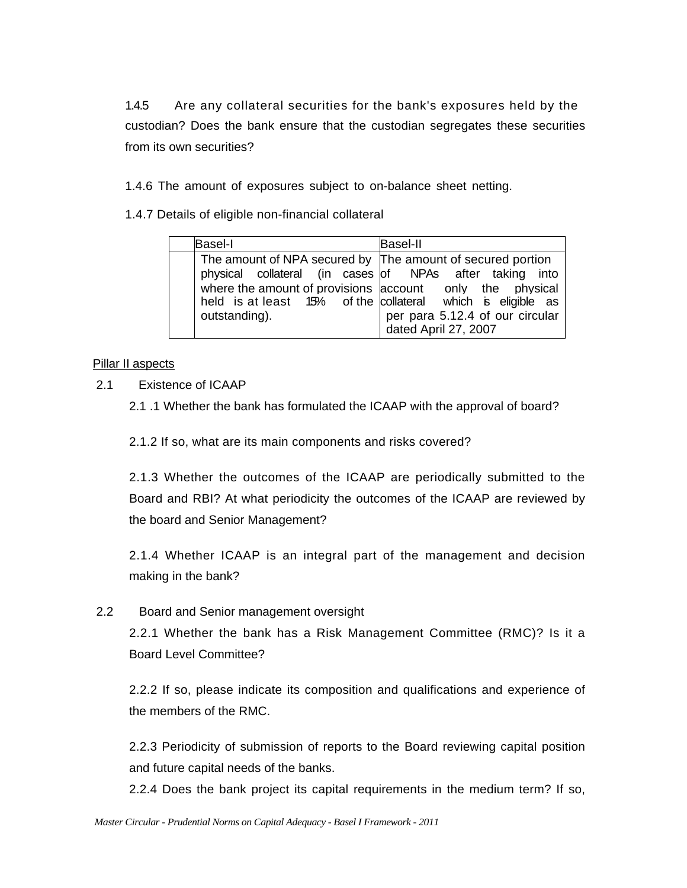1.4.5 Are any collateral securities for the bank's exposures held by the custodian? Does the bank ensure that the custodian segregates these securities from its own securities?

1.4.6 The amount of exposures subject to on-balance sheet netting.

1.4.7 Details of eligible non-financial collateral

| <b>Basel-I</b> | <b>Basel-II</b>                                                                                                                                                                                                                                                                                             |
|----------------|-------------------------------------------------------------------------------------------------------------------------------------------------------------------------------------------------------------------------------------------------------------------------------------------------------------|
| outstanding).  | The amount of NPA secured by The amount of secured portion<br>physical collateral (in cases of NPAs after taking into<br>where the amount of provisions account only the physical<br>held is at least 15% of the collateral which is eligible as<br>per para 5.12.4 of our circular<br>dated April 27, 2007 |

## Pillar II aspects

2.1 Existence of ICAAP

2.1 .1 Whether the bank has formulated the ICAAP with the approval of board?

2.1.2 If so, what are its main components and risks covered?

2.1.3 Whether the outcomes of the ICAAP are periodically submitted to the Board and RBI? At what periodicity the outcomes of the ICAAP are reviewed by the board and Senior Management?

2.1.4 Whether ICAAP is an integral part of the management and decision making in the bank?

2.2 Board and Senior management oversight

2.2.1 Whether the bank has a Risk Management Committee (RMC)? Is it a Board Level Committee?

2.2.2 If so, please indicate its composition and qualifications and experience of the members of the RMC.

2.2.3 Periodicity of submission of reports to the Board reviewing capital position and future capital needs of the banks.

2.2.4 Does the bank project its capital requirements in the medium term? If so,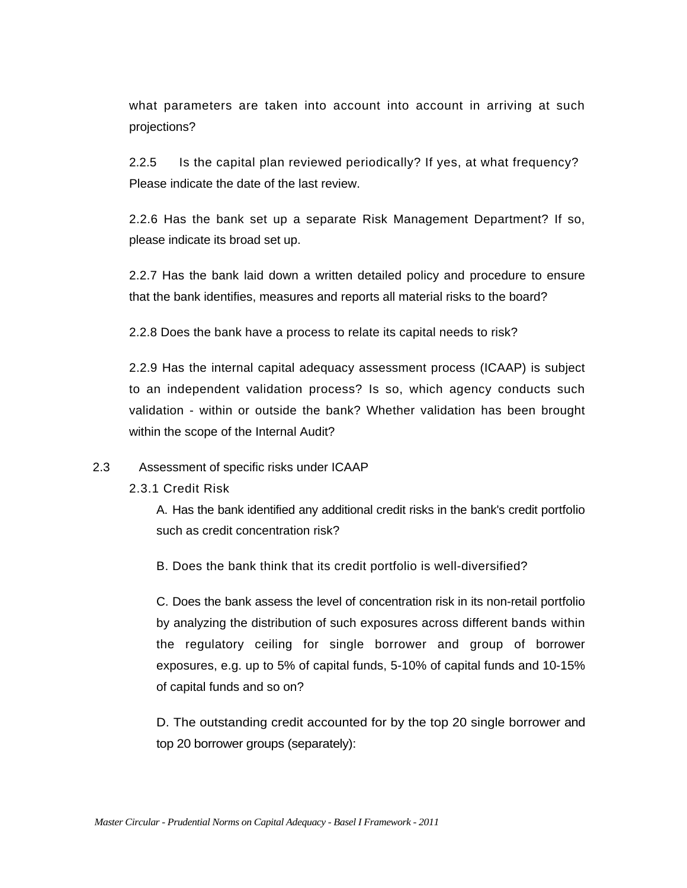what parameters are taken into account into account in arriving at such projections?

2.2.5 Is the capital plan reviewed periodically? If yes, at what frequency? Please indicate the date of the last review.

2.2.6 Has the bank set up a separate Risk Management Department? If so, please indicate its broad set up.

2.2.7 Has the bank laid down a written detailed policy and procedure to ensure that the bank identifies, measures and reports all material risks to the board?

2.2.8 Does the bank have a process to relate its capital needs to risk?

2.2.9 Has the internal capital adequacy assessment process (ICAAP) is subject to an independent validation process? Is so, which agency conducts such validation - within or outside the bank? Whether validation has been brought within the scope of the Internal Audit?

#### 2.3 Assessment of specific risks under ICAAP

2.3.1 Credit Risk

A. Has the bank identified any additional credit risks in the bank's credit portfolio such as credit concentration risk?

B. Does the bank think that its credit portfolio is well-diversified?

C. Does the bank assess the level of concentration risk in its non-retail portfolio by analyzing the distribution of such exposures across different bands within the regulatory ceiling for single borrower and group of borrower exposures, e.g. up to 5% of capital funds, 5-10% of capital funds and 10-15% of capital funds and so on?

D. The outstanding credit accounted for by the top 20 single borrower and top 20 borrower groups (separately):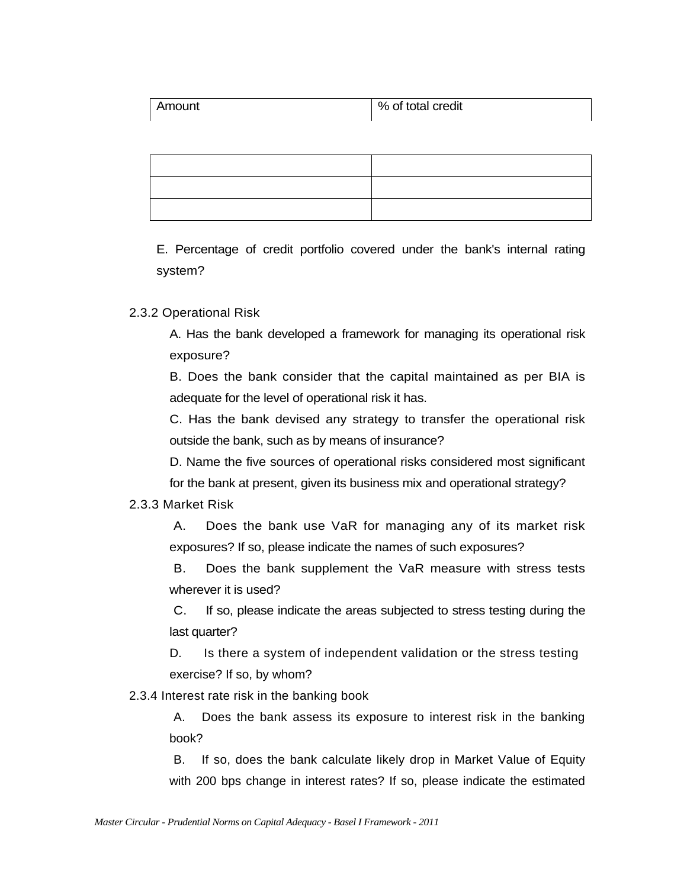| Amount | % of total credit |
|--------|-------------------|
|        |                   |

E. Percentage of credit portfolio covered under the bank's internal rating system?

## 2.3.2 Operational Risk

A. Has the bank developed a framework for managing its operational risk exposure?

B. Does the bank consider that the capital maintained as per BIA is adequate for the level of operational risk it has.

C. Has the bank devised any strategy to transfer the operational risk outside the bank, such as by means of insurance?

D. Name the five sources of operational risks considered most significant for the bank at present, given its business mix and operational strategy?

#### 2.3.3 Market Risk

A. Does the bank use VaR for managing any of its market risk exposures? If so, please indicate the names of such exposures?

B. Does the bank supplement the VaR measure with stress tests wherever it is used?

C. If so, please indicate the areas subjected to stress testing during the last quarter?

D. Is there a system of independent validation or the stress testing exercise? If so, by whom?

2.3.4 Interest rate risk in the banking book

A. Does the bank assess its exposure to interest risk in the banking book?

B. If so, does the bank calculate likely drop in Market Value of Equity with 200 bps change in interest rates? If so, please indicate the estimated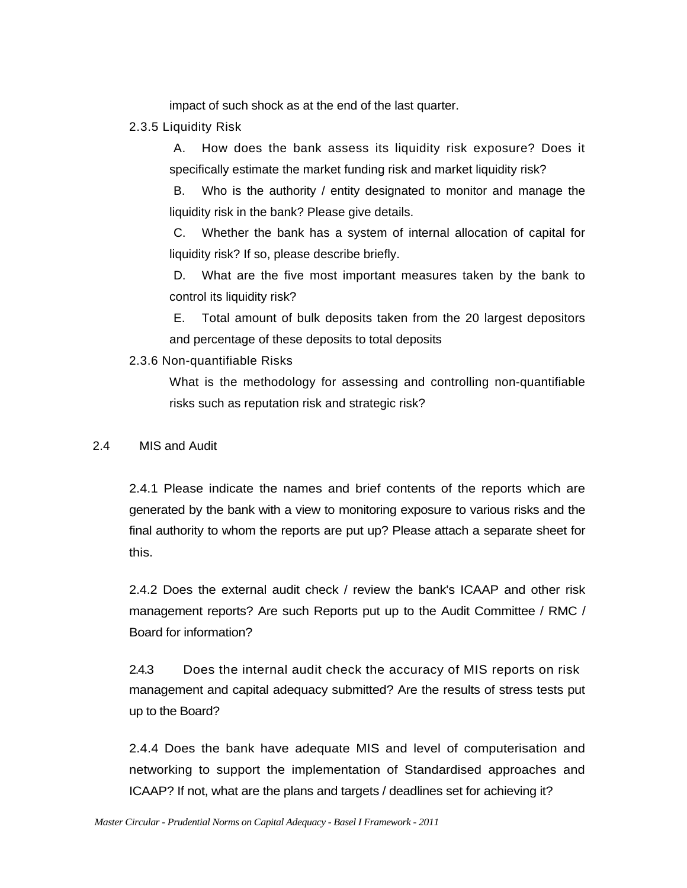impact of such shock as at the end of the last quarter.

2.3.5 Liquidity Risk

A. How does the bank assess its liquidity risk exposure? Does it specifically estimate the market funding risk and market liquidity risk?

B. Who is the authority / entity designated to monitor and manage the liquidity risk in the bank? Please give details.

C. Whether the bank has a system of internal allocation of capital for liquidity risk? If so, please describe briefly.

D. What are the five most important measures taken by the bank to control its liquidity risk?

E. Total amount of bulk deposits taken from the 20 largest depositors and percentage of these deposits to total deposits

2.3.6 Non-quantifiable Risks

What is the methodology for assessing and controlling non-quantifiable risks such as reputation risk and strategic risk?

2.4 MIS and Audit

2.4.1 Please indicate the names and brief contents of the reports which are generated by the bank with a view to monitoring exposure to various risks and the final authority to whom the reports are put up? Please attach a separate sheet for this.

2.4.2 Does the external audit check / review the bank's ICAAP and other risk management reports? Are such Reports put up to the Audit Committee / RMC / Board for information?

2.4.3 Does the internal audit check the accuracy of MIS reports on risk management and capital adequacy submitted? Are the results of stress tests put up to the Board?

2.4.4 Does the bank have adequate MIS and level of computerisation and networking to support the implementation of Standardised approaches and ICAAP? If not, what are the plans and targets / deadlines set for achieving it?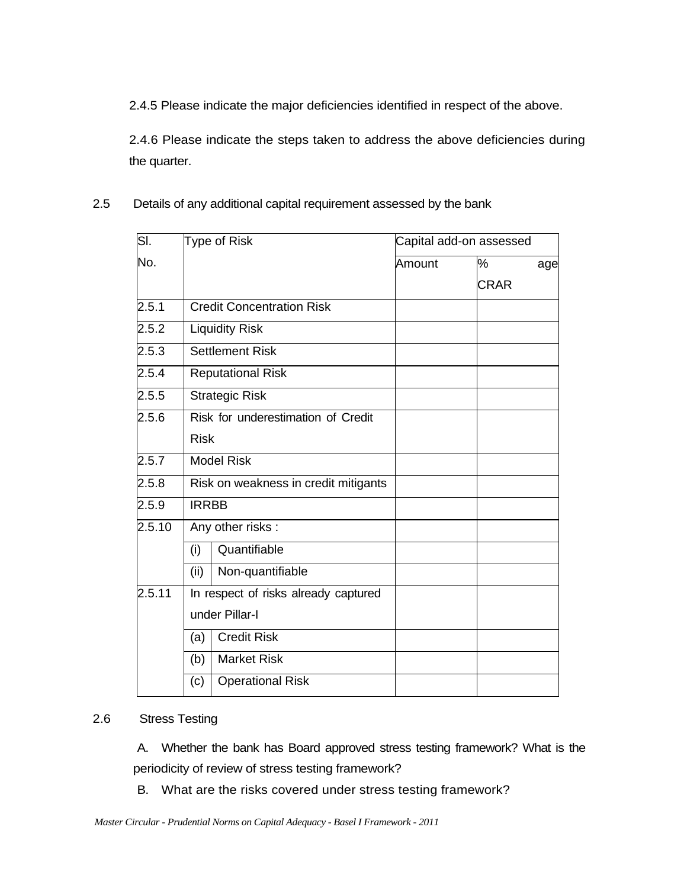2.4.5 Please indicate the major deficiencies identified in respect of the above.

2.4.6 Please indicate the steps taken to address the above deficiencies during the quarter.

2.5 Details of any additional capital requirement assessed by the bank

| $\overline{\mathsf{SI}.}$ | Type of Risk             |                                      | Capital add-on assessed |             |     |  |
|---------------------------|--------------------------|--------------------------------------|-------------------------|-------------|-----|--|
| No.                       |                          |                                      | Amount                  | $\%$        | age |  |
|                           |                          |                                      |                         | <b>CRAR</b> |     |  |
| $2.5.\overline{1}$        |                          | <b>Credit Concentration Risk</b>     |                         |             |     |  |
| 2.5.2                     |                          | <b>Liquidity Risk</b>                |                         |             |     |  |
| 2.5.3                     |                          | <b>Settlement Risk</b>               |                         |             |     |  |
| 2.5.4                     | <b>Reputational Risk</b> |                                      |                         |             |     |  |
| 2.5.5                     |                          | <b>Strategic Risk</b>                |                         |             |     |  |
| 2.5.6                     |                          | Risk for underestimation of Credit   |                         |             |     |  |
|                           | <b>Risk</b>              |                                      |                         |             |     |  |
| 2.5.7                     |                          | <b>Model Risk</b>                    |                         |             |     |  |
| 2.5.8                     |                          | Risk on weakness in credit mitigants |                         |             |     |  |
| 2.5.9                     | <b>IRRBB</b>             |                                      |                         |             |     |  |
| 2.5.10                    |                          | Any other risks:                     |                         |             |     |  |
|                           | (i)                      | Quantifiable                         |                         |             |     |  |
|                           | (ii)                     | Non-quantifiable                     |                         |             |     |  |
| 2.5.11                    |                          | In respect of risks already captured |                         |             |     |  |
|                           |                          | under Pillar-I                       |                         |             |     |  |
|                           | (a)                      | <b>Credit Risk</b>                   |                         |             |     |  |
|                           | (b)                      | <b>Market Risk</b>                   |                         |             |     |  |
|                           | (c)                      | <b>Operational Risk</b>              |                         |             |     |  |
|                           |                          |                                      |                         |             |     |  |

## 2.6 Stress Testing

A. Whether the bank has Board approved stress testing framework? What is the periodicity of review of stress testing framework?

B. What are the risks covered under stress testing framework?